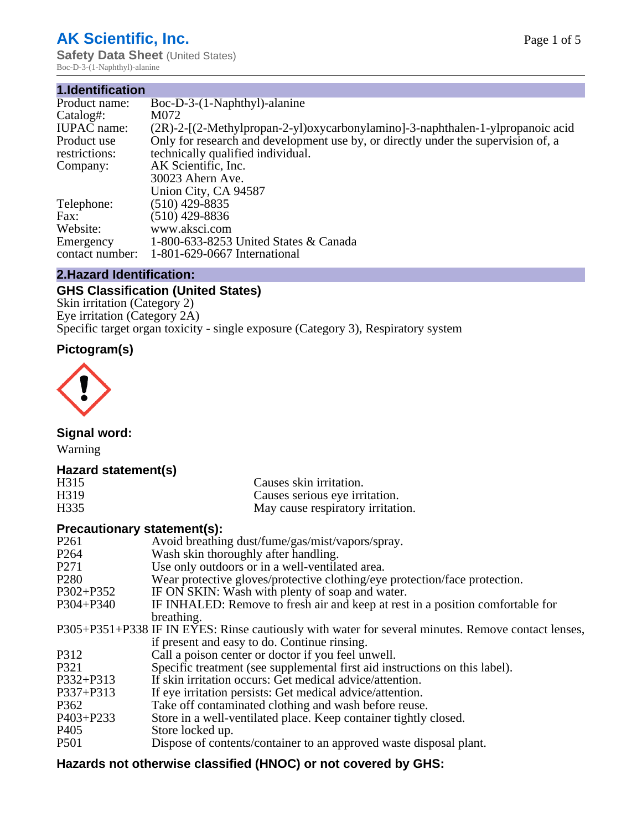# **AK Scientific, Inc.**

**Safety Data Sheet (United States)** Boc-D-3-(1-Naphthyl)-alanine

| 1.Identification   |                                                                                   |
|--------------------|-----------------------------------------------------------------------------------|
| Product name:      | Boc-D-3-(1-Naphthyl)-alanine                                                      |
| Catalog#:          | M072                                                                              |
| <b>IUPAC</b> name: | (2R)-2-[(2-Methylpropan-2-yl)oxycarbonylamino]-3-naphthalen-1-ylpropanoic acid    |
| Product use        | Only for research and development use by, or directly under the supervision of, a |
| restrictions:      | technically qualified individual.                                                 |
| Company:           | AK Scientific, Inc.                                                               |
|                    | 30023 Ahern Ave.                                                                  |
|                    | Union City, CA 94587                                                              |
| Telephone:         | $(510)$ 429-8835                                                                  |
| Fax:               | $(510)$ 429-8836                                                                  |
| Website:           | www.aksci.com                                                                     |
| Emergency          | 1-800-633-8253 United States & Canada                                             |
| contact number:    | 1-801-629-0667 International                                                      |

# **2.Hazard Identification:**

# **GHS Classification (United States)**

Skin irritation (Category 2) Eye irritation (Category 2A) Specific target organ toxicity - single exposure (Category 3), Respiratory system

# **Pictogram(s)**



**Signal word:**

Warning

# **Hazard statement(s)**

| H <sub>315</sub>  | Causes skin irritation.           |
|-------------------|-----------------------------------|
| H <sub>3</sub> 19 | Causes serious eye irritation.    |
| H335              | May cause respiratory irritation. |

## **Precautionary statement(s):**

| P <sub>261</sub> | Avoid breathing dust/fume/gas/mist/vapors/spray.                                                   |
|------------------|----------------------------------------------------------------------------------------------------|
| P <sub>264</sub> | Wash skin thoroughly after handling.                                                               |
| P <sub>271</sub> | Use only outdoors or in a well-ventilated area.                                                    |
| P <sub>280</sub> | Wear protective gloves/protective clothing/eye protection/face protection.                         |
| P302+P352        | IF ON SKIN: Wash with plenty of soap and water.                                                    |
| $P304 + P340$    | IF INHALED: Remove to fresh air and keep at rest in a position comfortable for                     |
|                  | breathing.                                                                                         |
|                  | P305+P351+P338 IF IN EYES: Rinse cautiously with water for several minutes. Remove contact lenses, |
|                  | if present and easy to do. Continue rinsing.                                                       |
| P312             | Call a poison center or doctor if you feel unwell.                                                 |
| P321             | Specific treatment (see supplemental first aid instructions on this label).                        |
| P332+P313        | If skin irritation occurs: Get medical advice/attention.                                           |
| P337+P313        | If eye irritation persists: Get medical advice/attention.                                          |
| P362             | Take off contaminated clothing and wash before reuse.                                              |
| $P403 + P233$    | Store in a well-ventilated place. Keep container tightly closed.                                   |
| P <sub>405</sub> | Store locked up.                                                                                   |
| P <sub>501</sub> | Dispose of contents/container to an approved waste disposal plant.                                 |
|                  |                                                                                                    |

# **Hazards not otherwise classified (HNOC) or not covered by GHS:**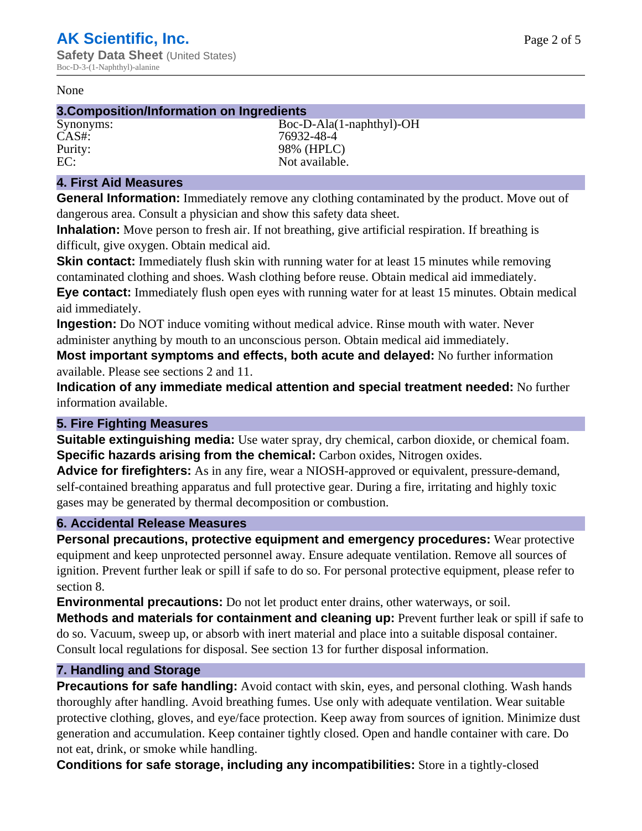#### None

## **3.Composition/Information on Ingredients**

CAS#: 76932-48-4

Synonyms: Boc-D-Ala(1-naphthyl)-OH Purity: 98% (HPLC)<br>EC: Not available Not available.

## **4. First Aid Measures**

**General Information:** Immediately remove any clothing contaminated by the product. Move out of dangerous area. Consult a physician and show this safety data sheet.

**Inhalation:** Move person to fresh air. If not breathing, give artificial respiration. If breathing is difficult, give oxygen. Obtain medical aid.

**Skin contact:** Immediately flush skin with running water for at least 15 minutes while removing contaminated clothing and shoes. Wash clothing before reuse. Obtain medical aid immediately. **Eye contact:** Immediately flush open eyes with running water for at least 15 minutes. Obtain medical aid immediately.

**Ingestion:** Do NOT induce vomiting without medical advice. Rinse mouth with water. Never administer anything by mouth to an unconscious person. Obtain medical aid immediately.

**Most important symptoms and effects, both acute and delayed:** No further information available. Please see sections 2 and 11.

**Indication of any immediate medical attention and special treatment needed:** No further information available.

## **5. Fire Fighting Measures**

**Suitable extinguishing media:** Use water spray, dry chemical, carbon dioxide, or chemical foam. **Specific hazards arising from the chemical:** Carbon oxides, Nitrogen oxides.

**Advice for firefighters:** As in any fire, wear a NIOSH-approved or equivalent, pressure-demand, self-contained breathing apparatus and full protective gear. During a fire, irritating and highly toxic gases may be generated by thermal decomposition or combustion.

## **6. Accidental Release Measures**

**Personal precautions, protective equipment and emergency procedures:** Wear protective equipment and keep unprotected personnel away. Ensure adequate ventilation. Remove all sources of ignition. Prevent further leak or spill if safe to do so. For personal protective equipment, please refer to section 8.

**Environmental precautions:** Do not let product enter drains, other waterways, or soil.

**Methods and materials for containment and cleaning up:** Prevent further leak or spill if safe to do so. Vacuum, sweep up, or absorb with inert material and place into a suitable disposal container. Consult local regulations for disposal. See section 13 for further disposal information.

## **7. Handling and Storage**

**Precautions for safe handling:** Avoid contact with skin, eyes, and personal clothing. Wash hands thoroughly after handling. Avoid breathing fumes. Use only with adequate ventilation. Wear suitable protective clothing, gloves, and eye/face protection. Keep away from sources of ignition. Minimize dust generation and accumulation. Keep container tightly closed. Open and handle container with care. Do not eat, drink, or smoke while handling.

**Conditions for safe storage, including any incompatibilities:** Store in a tightly-closed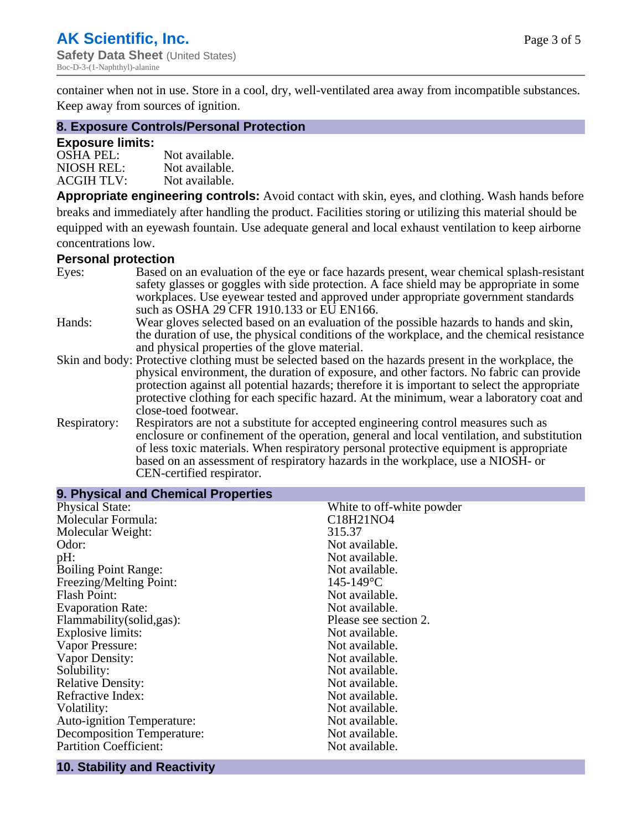container when not in use. Store in a cool, dry, well-ventilated area away from incompatible substances. Keep away from sources of ignition.

### **8. Exposure Controls/Personal Protection**

### **Exposure limits:**

| <b>OSHA PEL:</b>  | Not available. |
|-------------------|----------------|
| NIOSH REL:        | Not available. |
| <b>ACGIH TLV:</b> | Not available. |

**Appropriate engineering controls:** Avoid contact with skin, eyes, and clothing. Wash hands before breaks and immediately after handling the product. Facilities storing or utilizing this material should be equipped with an eyewash fountain. Use adequate general and local exhaust ventilation to keep airborne concentrations low.

### **Personal protection**

| Eyes:        | Based on an evaluation of the eye or face hazards present, wear chemical splash-resistant<br>safety glasses or goggles with side protection. A face shield may be appropriate in some |
|--------------|---------------------------------------------------------------------------------------------------------------------------------------------------------------------------------------|
|              | workplaces. Use eyewear tested and approved under appropriate government standards<br>such as OSHA 29 CFR 1910.133 or EU EN166.                                                       |
| Hands:       | Wear gloves selected based on an evaluation of the possible hazards to hands and skin,                                                                                                |
|              | the duration of use, the physical conditions of the workplace, and the chemical resistance                                                                                            |
|              | and physical properties of the glove material.                                                                                                                                        |
|              | Skin and body: Protective clothing must be selected based on the hazards present in the workplace, the                                                                                |
|              | physical environment, the duration of exposure, and other factors. No fabric can provide                                                                                              |
|              | protection against all potential hazards; therefore it is important to select the appropriate                                                                                         |
|              | protective clothing for each specific hazard. At the minimum, wear a laboratory coat and                                                                                              |
|              | close-toed footwear.                                                                                                                                                                  |
| Respiratory: | Respirators are not a substitute for accepted engineering control measures such as<br>enclosure or confinement of the operation, general and local ventilation, and substitution      |
|              | of less toxic materials. When respiratory personal protective equipment is appropriate                                                                                                |
|              | based on an assessment of respiratory hazards in the workplace, use a NIOSH- or                                                                                                       |
|              | CEN-certified respirator.                                                                                                                                                             |

| 9. Physical and Chemical Properties |                           |
|-------------------------------------|---------------------------|
| <b>Physical State:</b>              | White to off-white powder |
| Molecular Formula:                  | C18H21NO4                 |
| Molecular Weight:                   | 315.37                    |
| Odor:                               | Not available.            |
| pH:                                 | Not available.            |
| <b>Boiling Point Range:</b>         | Not available.            |
| Freezing/Melting Point:             | $145 - 149$ °C            |
| <b>Flash Point:</b>                 | Not available.            |
| <b>Evaporation Rate:</b>            | Not available.            |
| Flammability(solid,gas):            | Please see section 2.     |
| Explosive limits:                   | Not available.            |
| Vapor Pressure:                     | Not available.            |
| Vapor Density:                      | Not available.            |
| Solubility:                         | Not available.            |
| <b>Relative Density:</b>            | Not available.            |
| Refractive Index:                   | Not available.            |
| Volatility:                         | Not available.            |
| <b>Auto-ignition Temperature:</b>   | Not available.            |
| Decomposition Temperature:          | Not available.            |
| <b>Partition Coefficient:</b>       | Not available.            |

# **10. Stability and Reactivity**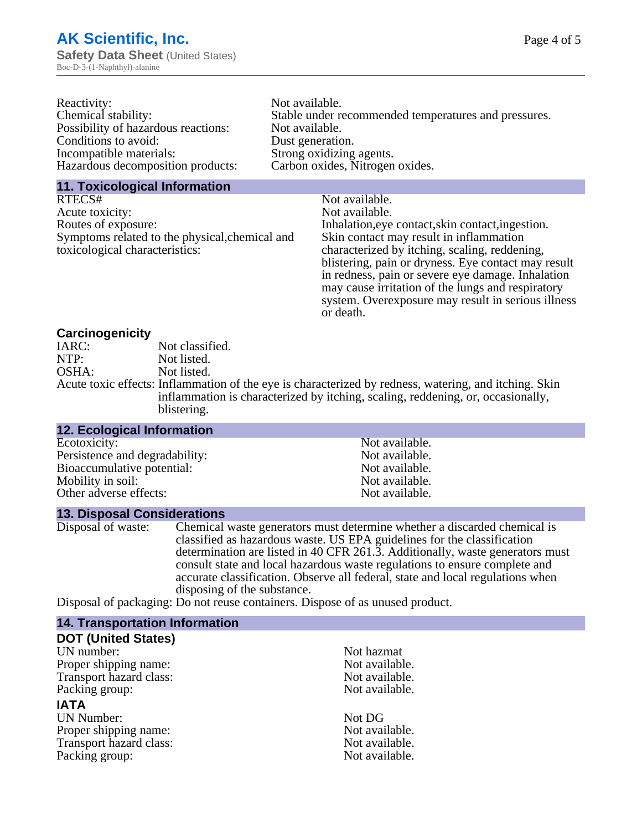| Reactivity:                         | Not available.                                       |
|-------------------------------------|------------------------------------------------------|
| Chemical stability:                 | Stable under recommended temperatures and pressures. |
| Possibility of hazardous reactions: | Not available.                                       |
| Conditions to avoid:                | Dust generation.                                     |
| Incompatible materials:             | Strong oxidizing agents.                             |
| Hazardous decomposition products:   | Carbon oxides, Nitrogen oxides.                      |
|                                     |                                                      |

#### **11. Toxicological Information**

| RTECS#                                         | Not available.                                      |
|------------------------------------------------|-----------------------------------------------------|
| Acute toxicity:                                | Not available.                                      |
| Routes of exposure:                            | Inhalation, eye contact, skin contact, ingestion.   |
| Symptoms related to the physical, chemical and | Skin contact may result in inflammation             |
| toxicological characteristics:                 | characterized by itching, scaling, reddening,       |
|                                                | blistering, pain or dryness. Eye contact may result |
|                                                | in redness, pain or severe eye damage. Inhalation   |
|                                                | may cause irritation of the lungs and respiratory   |
|                                                | system. Overexposure may result in serious illness  |

or death.

### **Carcinogenicity**

| IARC: | Not classified.                                                                                       |
|-------|-------------------------------------------------------------------------------------------------------|
| NTP:  | Not listed.                                                                                           |
| OSHA: | Not listed.                                                                                           |
|       | Acute toxic effects: Inflammation of the eye is characterized by redness, watering, and itching. Skin |
|       | inflammation is characterized by itching, scaling, reddening, or, occasionally,                       |
|       | blistering.                                                                                           |

| <b>12. Ecological Information</b> |                |
|-----------------------------------|----------------|
| Ecotoxicity:                      | Not available. |
| Persistence and degradability:    | Not available. |
| Bioaccumulative potential:        | Not available. |
| Mobility in soil:                 | Not available. |
| Other adverse effects:            | Not available. |

### **13. Disposal Considerations**

Disposal of waste: Chemical waste generators must determine whether a discarded chemical is classified as hazardous waste. US EPA guidelines for the classification determination are listed in 40 CFR 261.3. Additionally, waste generators must consult state and local hazardous waste regulations to ensure complete and accurate classification. Observe all federal, state and local regulations when disposing of the substance.

Disposal of packaging: Do not reuse containers. Dispose of as unused product.

| <b>14. Transportation Information</b> |                |
|---------------------------------------|----------------|
| <b>DOT (United States)</b>            |                |
| UN number:                            | Not hazmat     |
| Proper shipping name:                 | Not available. |
| Transport hazard class:               | Not available. |
| Packing group:                        | Not available. |
| <b>IATA</b>                           |                |
| <b>UN Number:</b>                     | Not DG         |
| Proper shipping name:                 | Not available. |
| Transport hazard class:               | Not available. |
| Packing group:                        | Not available. |